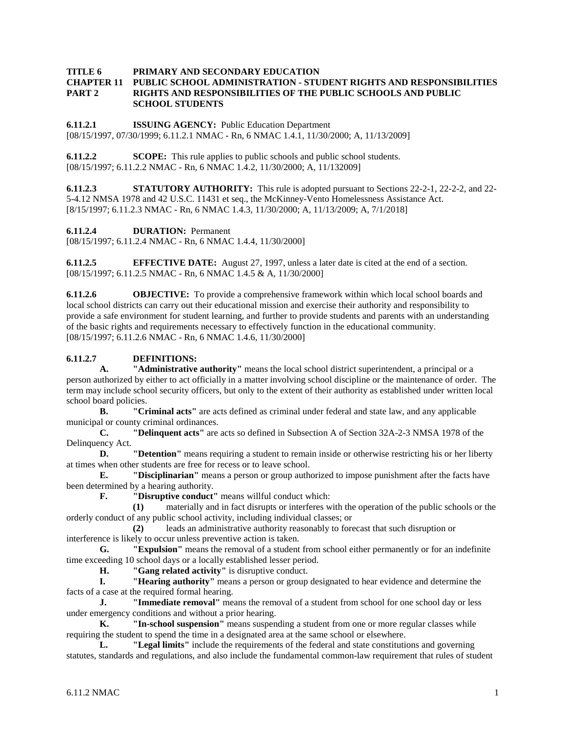## **TITLE 6 PRIMARY AND SECONDARY EDUCATION**

#### **CHAPTER 11 PUBLIC SCHOOL ADMINISTRATION - STUDENT RIGHTS AND RESPONSIBILITIES PART 2 RIGHTS AND RESPONSIBILITIES OF THE PUBLIC SCHOOLS AND PUBLIC SCHOOL STUDENTS**

**6.11.2.1 ISSUING AGENCY:** Public Education Department [08/15/1997, 07/30/1999; 6.11.2.1 NMAC - Rn, 6 NMAC 1.4.1, 11/30/2000; A, 11/13/2009]

**6.11.2.2 SCOPE:** This rule applies to public schools and public school students. [08/15/1997; 6.11.2.2 NMAC - Rn, 6 NMAC 1.4.2, 11/30/2000; A, 11/132009]

**6.11.2.3 STATUTORY AUTHORITY:** This rule is adopted pursuant to Sections 22-2-1, 22-2-2, and 22-5-4.12 NMSA 1978 and 42 U.S.C. 11431 et seq., the McKinney-Vento Homelessness Assistance Act. [8/15/1997; 6.11.2.3 NMAC - Rn, 6 NMAC 1.4.3, 11/30/2000; A, 11/13/2009; A, 7/1/2018]

**6.11.2.4 DURATION:** Permanent

[08/15/1997; 6.11.2.4 NMAC - Rn, 6 NMAC 1.4.4, 11/30/2000]

**6.11.2.5 EFFECTIVE DATE:** August 27, 1997, unless a later date is cited at the end of a section. [08/15/1997; 6.11.2.5 NMAC - Rn, 6 NMAC 1.4.5 & A, 11/30/2000]

**6.11.2.6 OBJECTIVE:** To provide a comprehensive framework within which local school boards and local school districts can carry out their educational mission and exercise their authority and responsibility to provide a safe environment for student learning, and further to provide students and parents with an understanding of the basic rights and requirements necessary to effectively function in the educational community. [08/15/1997; 6.11.2.6 NMAC - Rn, 6 NMAC 1.4.6, 11/30/2000]

### **6.11.2.7 DEFINITIONS:**

**A. "Administrative authority"** means the local school district superintendent, a principal or a person authorized by either to act officially in a matter involving school discipline or the maintenance of order. The term may include school security officers, but only to the extent of their authority as established under written local school board policies.

**B. "Criminal acts"** are acts defined as criminal under federal and state law, and any applicable municipal or county criminal ordinances.<br> **C. TDelinquent acts** re

**C. "Delinquent acts"** are acts so defined in Subsection A of Section 32A-2-3 NMSA 1978 of the Delinquency Act.

**D. "Detention"** means requiring a student to remain inside or otherwise restricting his or her liberty at times when other students are free for recess or to leave school.

**E. "Disciplinarian"** means a person or group authorized to impose punishment after the facts have been determined by a hearing authority.

**F. "Disruptive conduct"** means willful conduct which:

**(1)** materially and in fact disrupts or interferes with the operation of the public schools or the orderly conduct of any public school activity, including individual classes; or

**(2)** leads an administrative authority reasonably to forecast that such disruption or interference is likely to occur unless preventive action is taken.

**G. "Expulsion"** means the removal of a student from school either permanently or for an indefinite time exceeding 10 school days or a locally established lesser period.

**H. "Gang related activity"** is disruptive conduct.

**I. "Hearing authority"** means a person or group designated to hear evidence and determine the facts of a case at the required formal hearing.

**J. "Immediate removal"** means the removal of a student from school for one school day or less under emergency conditions and without a prior hearing.

**K. "In-school suspension"** means suspending a student from one or more regular classes while requiring the student to spend the time in a designated area at the same school or elsewhere.

**L. "Legal limits"** include the requirements of the federal and state constitutions and governing statutes, standards and regulations, and also include the fundamental common-law requirement that rules of student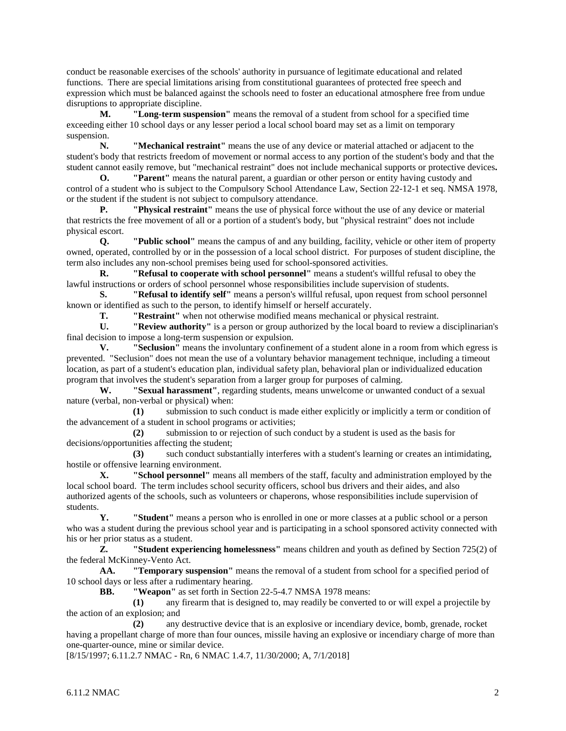conduct be reasonable exercises of the schools' authority in pursuance of legitimate educational and related functions. There are special limitations arising from constitutional guarantees of protected free speech and expression which must be balanced against the schools need to foster an educational atmosphere free from undue disruptions to appropriate discipline.

**M. "Long-term suspension"** means the removal of a student from school for a specified time exceeding either 10 school days or any lesser period a local school board may set as a limit on temporary suspension.

**N. "Mechanical restraint"** means the use of any device or material attached or adjacent to the student's body that restricts freedom of movement or normal access to any portion of the student's body and that the student cannot easily remove, but "mechanical restraint" does not include mechanical supports or protective devices**.**

**O. "Parent"** means the natural parent, a guardian or other person or entity having custody and control of a student who is subject to the Compulsory School Attendance Law, Section 22-12-1 et seq. NMSA 1978, or the student if the student is not subject to compulsory attendance.

**P. "Physical restraint"** means the use of physical force without the use of any device or material that restricts the free movement of all or a portion of a student's body, but "physical restraint" does not include physical escort.

**Q. "Public school"** means the campus of and any building, facility, vehicle or other item of property owned, operated, controlled by or in the possession of a local school district. For purposes of student discipline, the term also includes any non-school premises being used for school-sponsored activities.<br> **R.** "Refusel to connerate with school personnel" means a student's wi

**R. "Refusal to cooperate with school personnel"** means a student's willful refusal to obey the lawful instructions or orders of school personnel whose responsibilities include supervision of students.

**S. "Refusal to identify self"** means a person's willful refusal, upon request from school personnel known or identified as such to the person, to identify himself or herself accurately.

**T. "Restraint"** when not otherwise modified means mechanical or physical restraint.

**U. "Review authority"** is a person or group authorized by the local board to review a disciplinarian's final decision to impose a long-term suspension or expulsion.

**V. "Seclusion"** means the involuntary confinement of a student alone in a room from which egress is prevented. "Seclusion" does not mean the use of a voluntary behavior management technique, including a timeout location, as part of a student's education plan, individual safety plan, behavioral plan or individualized education program that involves the student's separation from a larger group for purposes of calming.

**W. "Sexual harassment"**, regarding students, means unwelcome or unwanted conduct of a sexual nature (verbal, non-verbal or physical) when:

**(1)** submission to such conduct is made either explicitly or implicitly a term or condition of the advancement of a student in school programs or activities;

**(2)** submission to or rejection of such conduct by a student is used as the basis for decisions/opportunities affecting the student;

**(3)** such conduct substantially interferes with a student's learning or creates an intimidating, hostile or offensive learning environment.

**X. "School personnel"** means all members of the staff, faculty and administration employed by the local school board. The term includes school security officers, school bus drivers and their aides, and also authorized agents of the schools, such as volunteers or chaperons, whose responsibilities include supervision of students.

**Y. "Student"** means a person who is enrolled in one or more classes at a public school or a person who was a student during the previous school year and is participating in a school sponsored activity connected with his or her prior status as a student.

**Z. "Student experiencing homelessness"** means children and youth as defined by Section 725(2) of the federal McKinney-Vento Act.

**AA. "Temporary suspension"** means the removal of a student from school for a specified period of 10 school days or less after a rudimentary hearing.

**BB. "Weapon"** as set forth in Section 22-5-4.7 NMSA 1978 means:

**(1)** any firearm that is designed to, may readily be converted to or will expel a projectile by the action of an explosion; and

**(2)** any destructive device that is an explosive or incendiary device, bomb, grenade, rocket having a propellant charge of more than four ounces, missile having an explosive or incendiary charge of more than one-quarter-ounce, mine or similar device.

[8/15/1997; 6.11.2.7 NMAC - Rn, 6 NMAC 1.4.7, 11/30/2000; A, 7/1/2018]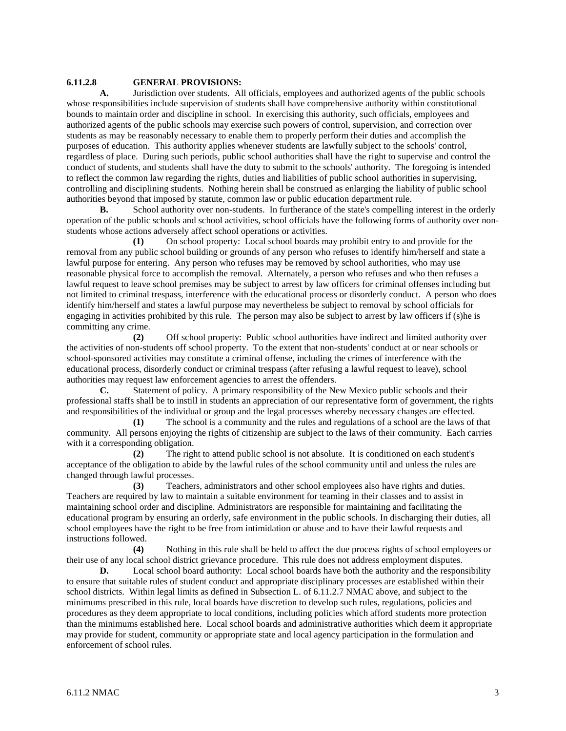### **6.11.2.8 GENERAL PROVISIONS:**

**A.** Jurisdiction over students. All officials, employees and authorized agents of the public schools whose responsibilities include supervision of students shall have comprehensive authority within constitutional bounds to maintain order and discipline in school. In exercising this authority, such officials, employees and authorized agents of the public schools may exercise such powers of control, supervision, and correction over students as may be reasonably necessary to enable them to properly perform their duties and accomplish the purposes of education. This authority applies whenever students are lawfully subject to the schools' control, regardless of place. During such periods, public school authorities shall have the right to supervise and control the conduct of students, and students shall have the duty to submit to the schools' authority. The foregoing is intended to reflect the common law regarding the rights, duties and liabilities of public school authorities in supervising, controlling and disciplining students. Nothing herein shall be construed as enlarging the liability of public school authorities beyond that imposed by statute, common law or public education department rule.

**B.** School authority over non-students. In furtherance of the state's compelling interest in the orderly operation of the public schools and school activities, school officials have the following forms of authority over nonstudents whose actions adversely affect school operations or activities.

**(1)** On school property: Local school boards may prohibit entry to and provide for the removal from any public school building or grounds of any person who refuses to identify him/herself and state a lawful purpose for entering. Any person who refuses may be removed by school authorities, who may use reasonable physical force to accomplish the removal. Alternately, a person who refuses and who then refuses a lawful request to leave school premises may be subject to arrest by law officers for criminal offenses including but not limited to criminal trespass, interference with the educational process or disorderly conduct. A person who does identify him/herself and states a lawful purpose may nevertheless be subject to removal by school officials for engaging in activities prohibited by this rule. The person may also be subject to arrest by law officers if (s)he is committing any crime.

**(2)** Off school property: Public school authorities have indirect and limited authority over the activities of non-students off school property. To the extent that non-students' conduct at or near schools or school-sponsored activities may constitute a criminal offense, including the crimes of interference with the educational process, disorderly conduct or criminal trespass (after refusing a lawful request to leave), school authorities may request law enforcement agencies to arrest the offenders.

**C.** Statement of policy. A primary responsibility of the New Mexico public schools and their professional staffs shall be to instill in students an appreciation of our representative form of government, the rights and responsibilities of the individual or group and the legal processes whereby necessary changes are effected.

**(1)** The school is a community and the rules and regulations of a school are the laws of that community. All persons enjoying the rights of citizenship are subject to the laws of their community. Each carries with it a corresponding obligation.

**(2)** The right to attend public school is not absolute. It is conditioned on each student's acceptance of the obligation to abide by the lawful rules of the school community until and unless the rules are changed through lawful processes.

**(3)** Teachers, administrators and other school employees also have rights and duties. Teachers are required by law to maintain a suitable environment for teaming in their classes and to assist in maintaining school order and discipline. Administrators are responsible for maintaining and facilitating the educational program by ensuring an orderly, safe environment in the public schools. In discharging their duties, all school employees have the right to be free from intimidation or abuse and to have their lawful requests and instructions followed.

**(4)** Nothing in this rule shall be held to affect the due process rights of school employees or their use of any local school district grievance procedure. This rule does not address employment disputes.

**D.** Local school board authority: Local school boards have both the authority and the responsibility to ensure that suitable rules of student conduct and appropriate disciplinary processes are established within their school districts. Within legal limits as defined in Subsection L. of 6.11.2.7 NMAC above, and subject to the minimums prescribed in this rule, local boards have discretion to develop such rules, regulations, policies and procedures as they deem appropriate to local conditions, including policies which afford students more protection than the minimums established here. Local school boards and administrative authorities which deem it appropriate may provide for student, community or appropriate state and local agency participation in the formulation and enforcement of school rules.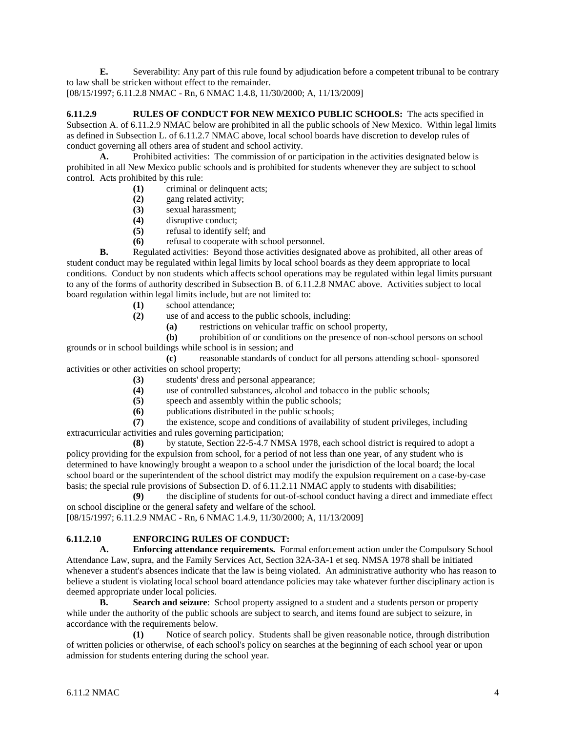**E.** Severability: Any part of this rule found by adjudication before a competent tribunal to be contrary to law shall be stricken without effect to the remainder.

[08/15/1997; 6.11.2.8 NMAC - Rn, 6 NMAC 1.4.8, 11/30/2000; A, 11/13/2009]

**6.11.2.9 RULES OF CONDUCT FOR NEW MEXICO PUBLIC SCHOOLS:** The acts specified in Subsection A. of 6.11.2.9 NMAC below are prohibited in all the public schools of New Mexico. Within legal limits as defined in Subsection L. of 6.11.2.7 NMAC above, local school boards have discretion to develop rules of conduct governing all others area of student and school activity.

A. Prohibited activities: The commission of or participation in the activities designated below is prohibited in all New Mexico public schools and is prohibited for students whenever they are subject to school control. Acts prohibited by this rule:

- **(1)** criminal or delinquent acts;
- **(2)** gang related activity;
- **(3)** sexual harassment;
- **(4)** disruptive conduct;
- **(5)** refusal to identify self; and
- **(6)** refusal to cooperate with school personnel.

**B.** Regulated activities: Beyond those activities designated above as prohibited, all other areas of student conduct may be regulated within legal limits by local school boards as they deem appropriate to local conditions. Conduct by non students which affects school operations may be regulated within legal limits pursuant to any of the forms of authority described in Subsection B. of 6.11.2.8 NMAC above. Activities subject to local board regulation within legal limits include, but are not limited to:

- **(1)** school attendance;
- **(2)** use of and access to the public schools, including:
	- **(a)** restrictions on vehicular traffic on school property,

**(b)** prohibition of or conditions on the presence of non-school persons on school

grounds or in school buildings while school is in session; and **(c)** reasonable standards of conduct for all persons attending school- sponsored

activities or other activities on school property;

- **(3)** students' dress and personal appearance;
- **(4)** use of controlled substances, alcohol and tobacco in the public schools;
- **(5)** speech and assembly within the public schools;
- **(6)** publications distributed in the public schools;

**(7)** the existence, scope and conditions of availability of student privileges, including extracurricular activities and rules governing participation;

by statute, Section 22-5-4.7 NMSA 1978, each school district is required to adopt a policy providing for the expulsion from school, for a period of not less than one year, of any student who is determined to have knowingly brought a weapon to a school under the jurisdiction of the local board; the local school board or the superintendent of the school district may modify the expulsion requirement on a case-by-case basis; the special rule provisions of Subsection D. of 6.11.2.11 NMAC apply to students with disabilities;

**(9)** the discipline of students for out-of-school conduct having a direct and immediate effect on school discipline or the general safety and welfare of the school.

[08/15/1997; 6.11.2.9 NMAC - Rn, 6 NMAC 1.4.9, 11/30/2000; A, 11/13/2009]

# **6.11.2.10 ENFORCING RULES OF CONDUCT:**<br>**A.** Enforcing attendance requirements. For

**A. Enforcing attendance requirements.** Formal enforcement action under the Compulsory School Attendance Law, supra, and the Family Services Act, Section 32A-3A-1 et seq. NMSA 1978 shall be initiated whenever a student's absences indicate that the law is being violated. An administrative authority who has reason to believe a student is violating local school board attendance policies may take whatever further disciplinary action is deemed appropriate under local policies.

**B. Search and seizure**: School property assigned to a student and a students person or property while under the authority of the public schools are subject to search, and items found are subject to seizure, in accordance with the requirements below.

**(1)** Notice of search policy. Students shall be given reasonable notice, through distribution of written policies or otherwise, of each school's policy on searches at the beginning of each school year or upon admission for students entering during the school year.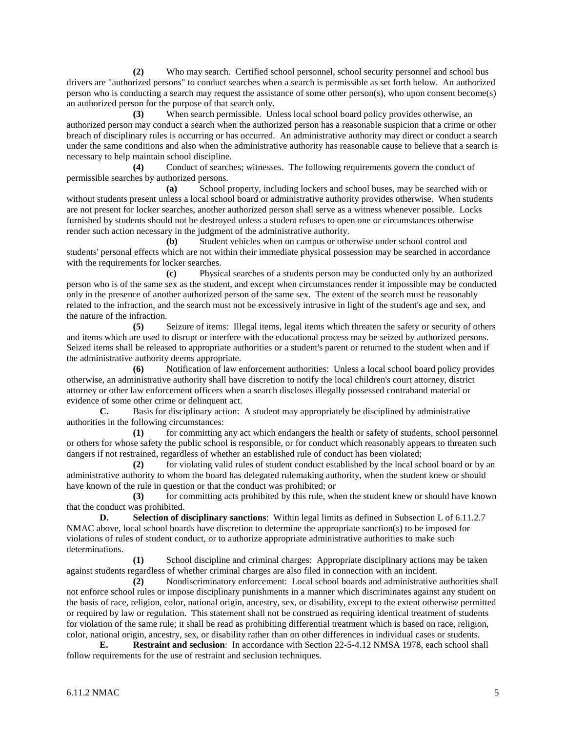**(2)** Who may search. Certified school personnel, school security personnel and school bus drivers are "authorized persons" to conduct searches when a search is permissible as set forth below. An authorized person who is conducting a search may request the assistance of some other person(s), who upon consent become(s) an authorized person for the purpose of that search only.

**(3)** When search permissible. Unless local school board policy provides otherwise, an authorized person may conduct a search when the authorized person has a reasonable suspicion that a crime or other breach of disciplinary rules is occurring or has occurred. An administrative authority may direct or conduct a search under the same conditions and also when the administrative authority has reasonable cause to believe that a search is necessary to help maintain school discipline.

**(4)** Conduct of searches; witnesses. The following requirements govern the conduct of permissible searches by authorized persons.

**(a)** School property, including lockers and school buses, may be searched with or without students present unless a local school board or administrative authority provides otherwise. When students are not present for locker searches, another authorized person shall serve as a witness whenever possible. Locks furnished by students should not be destroyed unless a student refuses to open one or circumstances otherwise render such action necessary in the judgment of the administrative authority.

**(b)** Student vehicles when on campus or otherwise under school control and students' personal effects which are not within their immediate physical possession may be searched in accordance with the requirements for locker searches.

**(c)** Physical searches of a students person may be conducted only by an authorized person who is of the same sex as the student, and except when circumstances render it impossible may be conducted only in the presence of another authorized person of the same sex. The extent of the search must be reasonably related to the infraction, and the search must not be excessively intrusive in light of the student's age and sex, and the nature of the infraction.

**(5)** Seizure of items: Illegal items, legal items which threaten the safety or security of others and items which are used to disrupt or interfere with the educational process may be seized by authorized persons. Seized items shall be released to appropriate authorities or a student's parent or returned to the student when and if the administrative authority deems appropriate.

**(6)** Notification of law enforcement authorities: Unless a local school board policy provides otherwise, an administrative authority shall have discretion to notify the local children's court attorney, district attorney or other law enforcement officers when a search discloses illegally possessed contraband material or evidence of some other crime or delinquent act.

**C.** Basis for disciplinary action: A student may appropriately be disciplined by administrative authorities in the following circumstances:

**(1)** for committing any act which endangers the health or safety of students, school personnel or others for whose safety the public school is responsible, or for conduct which reasonably appears to threaten such dangers if not restrained, regardless of whether an established rule of conduct has been violated;

**(2)** for violating valid rules of student conduct established by the local school board or by an administrative authority to whom the board has delegated rulemaking authority, when the student knew or should have known of the rule in question or that the conduct was prohibited; or

**(3)** for committing acts prohibited by this rule, when the student knew or should have known that the conduct was prohibited.

**D. Selection of disciplinary sanctions**: Within legal limits as defined in Subsection L of 6.11.2.7 NMAC above, local school boards have discretion to determine the appropriate sanction(s) to be imposed for violations of rules of student conduct, or to authorize appropriate administrative authorities to make such determinations.

**(1)** School discipline and criminal charges: Appropriate disciplinary actions may be taken against students regardless of whether criminal charges are also filed in connection with an incident.

**(2)** Nondiscriminatory enforcement: Local school boards and administrative authorities shall not enforce school rules or impose disciplinary punishments in a manner which discriminates against any student on the basis of race, religion, color, national origin, ancestry, sex, or disability, except to the extent otherwise permitted or required by law or regulation. This statement shall not be construed as requiring identical treatment of students for violation of the same rule; it shall be read as prohibiting differential treatment which is based on race, religion, color, national origin, ancestry, sex, or disability rather than on other differences in individual cases or students.

**E. Restraint and seclusion**: In accordance with Section 22-5-4.12 NMSA 1978, each school shall follow requirements for the use of restraint and seclusion techniques.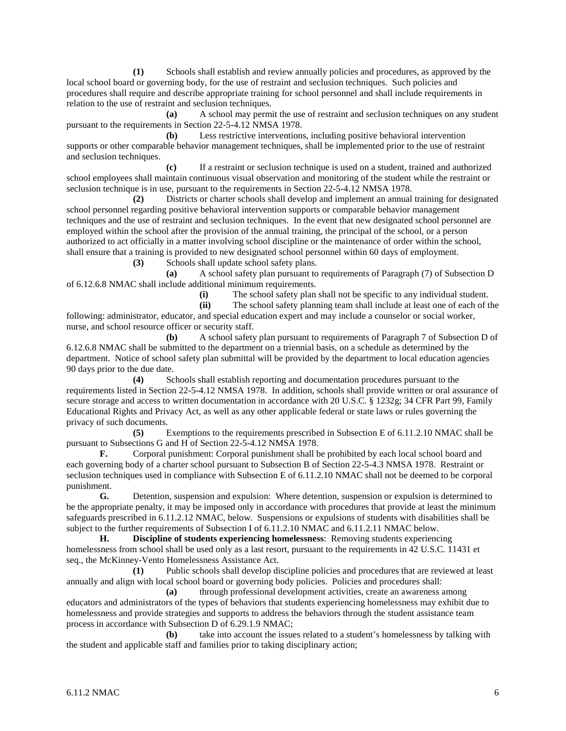**(1)** Schools shall establish and review annually policies and procedures, as approved by the local school board or governing body, for the use of restraint and seclusion techniques. Such policies and procedures shall require and describe appropriate training for school personnel and shall include requirements in relation to the use of restraint and seclusion techniques.

**(a)** A school may permit the use of restraint and seclusion techniques on any student pursuant to the requirements in Section 22-5-4.12 NMSA 1978.

**(b)** Less restrictive interventions, including positive behavioral intervention supports or other comparable behavior management techniques, shall be implemented prior to the use of restraint and seclusion techniques.

**(c)** If a restraint or seclusion technique is used on a student, trained and authorized school employees shall maintain continuous visual observation and monitoring of the student while the restraint or seclusion technique is in use, pursuant to the requirements in Section 22-5-4.12 NMSA 1978.

**(2)** Districts or charter schools shall develop and implement an annual training for designated school personnel regarding positive behavioral intervention supports or comparable behavior management techniques and the use of restraint and seclusion techniques. In the event that new designated school personnel are employed within the school after the provision of the annual training, the principal of the school, or a person authorized to act officially in a matter involving school discipline or the maintenance of order within the school, shall ensure that a training is provided to new designated school personnel within 60 days of employment.

**(3)** Schools shall update school safety plans.

**(a)** A school safety plan pursuant to requirements of Paragraph (7) of Subsection D of 6.12.6.8 NMAC shall include additional minimum requirements.

(i) The school safety plan shall not be specific to any individual student.<br> **(ii)** The school safety planning team shall include at least one of each of t

The school safety planning team shall include at least one of each of the following: administrator, educator, and special education expert and may include a counselor or social worker, nurse, and school resource officer or security staff.

**(b)** A school safety plan pursuant to requirements of Paragraph 7 of Subsection D of 6.12.6.8 NMAC shall be submitted to the department on a triennial basis, on a schedule as determined by the department. Notice of school safety plan submittal will be provided by the department to local education agencies 90 days prior to the due date.

**(4)** Schools shall establish reporting and documentation procedures pursuant to the requirements listed in Section 22-5-4.12 NMSA 1978. In addition, schools shall provide written or oral assurance of secure storage and access to written documentation in accordance with 20 U.S.C. § 1232g; 34 CFR Part 99, Family Educational Rights and Privacy Act, as well as any other applicable federal or state laws or rules governing the privacy of such documents.

**(5)** Exemptions to the requirements prescribed in Subsection E of 6.11.2.10 NMAC shall be pursuant to Subsections G and H of Section 22-5-4.12 NMSA 1978.

**F.** Corporal punishment: Corporal punishment shall be prohibited by each local school board and each governing body of a charter school pursuant to Subsection B of Section 22-5-4.3 NMSA 1978. Restraint or seclusion techniques used in compliance with Subsection E of 6.11.2.10 NMAC shall not be deemed to be corporal punishment.

**G.** Detention, suspension and expulsion: Where detention, suspension or expulsion is determined to be the appropriate penalty, it may be imposed only in accordance with procedures that provide at least the minimum safeguards prescribed in 6.11.2.12 NMAC, below. Suspensions or expulsions of students with disabilities shall be subject to the further requirements of Subsection I of 6.11.2.10 NMAC and 6.11.2.11 NMAC below.

**H. Discipline of students experiencing homelessness**: Removing students experiencing homelessness from school shall be used only as a last resort, pursuant to the requirements in 42 U.S.C. 11431 et seq., the McKinney-Vento Homelessness Assistance Act.

**(1)** Public schools shall develop discipline policies and procedures that are reviewed at least annually and align with local school board or governing body policies. Policies and procedures shall:

**(a)** through professional development activities, create an awareness among educators and administrators of the types of behaviors that students experiencing homelessness may exhibit due to homelessness and provide strategies and supports to address the behaviors through the student assistance team process in accordance with Subsection D of 6.29.1.9 NMAC;

**(b)** take into account the issues related to a student's homelessness by talking with the student and applicable staff and families prior to taking disciplinary action;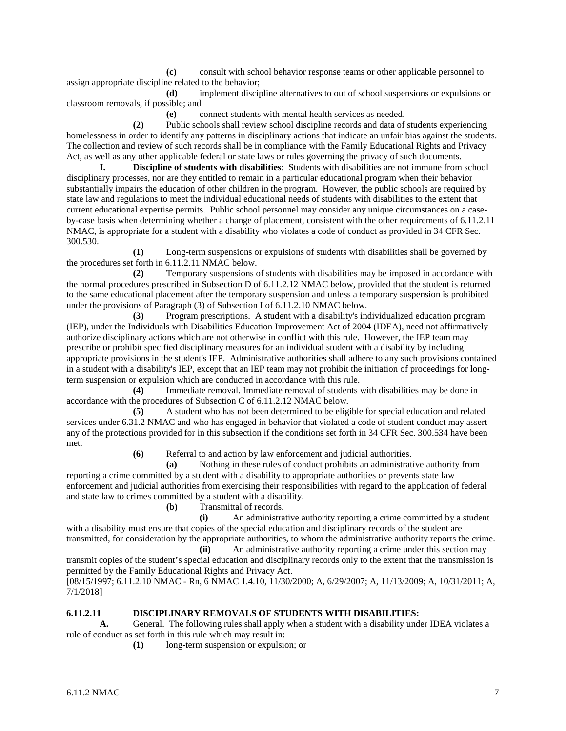**(c)** consult with school behavior response teams or other applicable personnel to assign appropriate discipline related to the behavior;

**(d)** implement discipline alternatives to out of school suspensions or expulsions or classroom removals, if possible; and

**(e)** connect students with mental health services as needed.

**(2)** Public schools shall review school discipline records and data of students experiencing homelessness in order to identify any patterns in disciplinary actions that indicate an unfair bias against the students. The collection and review of such records shall be in compliance with the Family Educational Rights and Privacy Act, as well as any other applicable federal or state laws or rules governing the privacy of such documents.

**I. Discipline of students with disabilities**: Students with disabilities are not immune from school disciplinary processes, nor are they entitled to remain in a particular educational program when their behavior substantially impairs the education of other children in the program. However, the public schools are required by state law and regulations to meet the individual educational needs of students with disabilities to the extent that current educational expertise permits. Public school personnel may consider any unique circumstances on a caseby-case basis when determining whether a change of placement, consistent with the other requirements of 6.11.2.11 NMAC, is appropriate for a student with a disability who violates a code of conduct as provided in 34 CFR Sec. 300.530.

**(1)** Long-term suspensions or expulsions of students with disabilities shall be governed by the procedures set forth in 6.11.2.11 NMAC below.

**(2)** Temporary suspensions of students with disabilities may be imposed in accordance with the normal procedures prescribed in Subsection D of 6.11.2.12 NMAC below, provided that the student is returned to the same educational placement after the temporary suspension and unless a temporary suspension is prohibited under the provisions of Paragraph (3) of Subsection I of 6.11.2.10 NMAC below.

**(3)** Program prescriptions. A student with a disability's individualized education program (IEP), under the Individuals with Disabilities Education Improvement Act of 2004 (IDEA), need not affirmatively authorize disciplinary actions which are not otherwise in conflict with this rule. However, the IEP team may prescribe or prohibit specified disciplinary measures for an individual student with a disability by including appropriate provisions in the student's IEP. Administrative authorities shall adhere to any such provisions contained in a student with a disability's IEP, except that an IEP team may not prohibit the initiation of proceedings for longterm suspension or expulsion which are conducted in accordance with this rule.

**(4)** Immediate removal. Immediate removal of students with disabilities may be done in accordance with the procedures of Subsection C of 6.11.2.12 NMAC below.

**(5)** A student who has not been determined to be eligible for special education and related services under 6.31.2 NMAC and who has engaged in behavior that violated a code of student conduct may assert any of the protections provided for in this subsection if the conditions set forth in 34 CFR Sec. 300.534 have been met.

**(6)** Referral to and action by law enforcement and judicial authorities.

**(a)** Nothing in these rules of conduct prohibits an administrative authority from reporting a crime committed by a student with a disability to appropriate authorities or prevents state law enforcement and judicial authorities from exercising their responsibilities with regard to the application of federal and state law to crimes committed by a student with a disability.

**(b)** Transmittal of records.

**(i)** An administrative authority reporting a crime committed by a student with a disability must ensure that copies of the special education and disciplinary records of the student are transmitted, for consideration by the appropriate authorities, to whom the administrative authority reports the crime.

**(ii)** An administrative authority reporting a crime under this section may transmit copies of the student's special education and disciplinary records only to the extent that the transmission is permitted by the Family Educational Rights and Privacy Act.

[08/15/1997; 6.11.2.10 NMAC - Rn, 6 NMAC 1.4.10, 11/30/2000; A, 6/29/2007; A, 11/13/2009; A, 10/31/2011; A, 7/1/2018]

## **6.11.2.11 DISCIPLINARY REMOVALS OF STUDENTS WITH DISABILITIES:**

**A.** General. The following rules shall apply when a student with a disability under IDEA violates a rule of conduct as set forth in this rule which may result in:

**(1)** long-term suspension or expulsion; or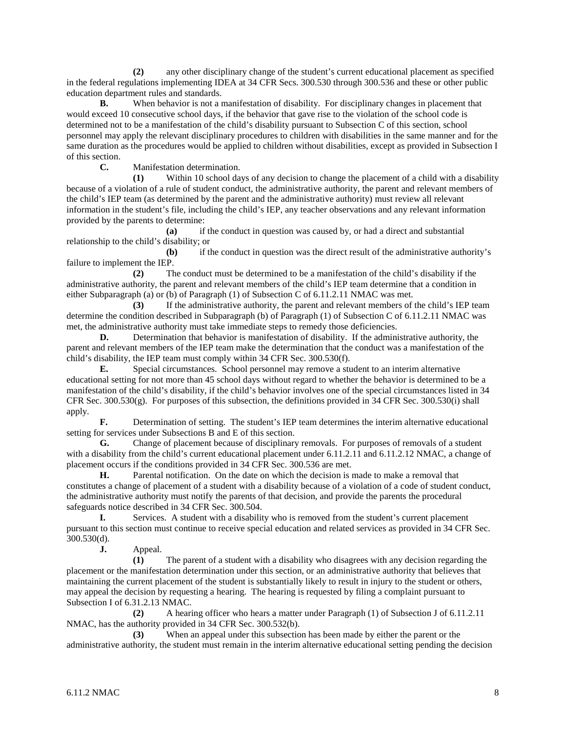**(2)** any other disciplinary change of the student's current educational placement as specified in the federal regulations implementing IDEA at 34 CFR Secs. 300.530 through 300.536 and these or other public education department rules and standards.

**B.** When behavior is not a manifestation of disability. For disciplinary changes in placement that would exceed 10 consecutive school days, if the behavior that gave rise to the violation of the school code is determined not to be a manifestation of the child's disability pursuant to Subsection C of this section, school personnel may apply the relevant disciplinary procedures to children with disabilities in the same manner and for the same duration as the procedures would be applied to children without disabilities, except as provided in Subsection I of this section.

**C.** Manifestation determination.

**(1)** Within 10 school days of any decision to change the placement of a child with a disability because of a violation of a rule of student conduct, the administrative authority, the parent and relevant members of the child's IEP team (as determined by the parent and the administrative authority) must review all relevant information in the student's file, including the child's IEP, any teacher observations and any relevant information provided by the parents to determine:

**(a)** if the conduct in question was caused by, or had a direct and substantial relationship to the child's disability; or

**(b)** if the conduct in question was the direct result of the administrative authority's failure to implement the IEP.

**(2)** The conduct must be determined to be a manifestation of the child's disability if the administrative authority, the parent and relevant members of the child's IEP team determine that a condition in either Subparagraph (a) or (b) of Paragraph (1) of Subsection C of 6.11.2.11 NMAC was met.

**(3)** If the administrative authority, the parent and relevant members of the child's IEP team determine the condition described in Subparagraph (b) of Paragraph (1) of Subsection C of 6.11.2.11 NMAC was met, the administrative authority must take immediate steps to remedy those deficiencies.

**D.** Determination that behavior is manifestation of disability. If the administrative authority, the parent and relevant members of the IEP team make the determination that the conduct was a manifestation of the child's disability, the IEP team must comply within 34 CFR Sec. 300.530(f).

**E.** Special circumstances. School personnel may remove a student to an interim alternative educational setting for not more than 45 school days without regard to whether the behavior is determined to be a manifestation of the child's disability, if the child's behavior involves one of the special circumstances listed in 34 CFR Sec.  $300.530(g)$ . For purposes of this subsection, the definitions provided in 34 CFR Sec. 300.530(i) shall apply.

**F.** Determination of setting. The student's IEP team determines the interim alternative educational setting for services under Subsections B and E of this section.

**G.** Change of placement because of disciplinary removals. For purposes of removals of a student with a disability from the child's current educational placement under 6.11.2.11 and 6.11.2.12 NMAC, a change of placement occurs if the conditions provided in 34 CFR Sec. 300.536 are met.

**H.** Parental notification. On the date on which the decision is made to make a removal that constitutes a change of placement of a student with a disability because of a violation of a code of student conduct, the administrative authority must notify the parents of that decision, and provide the parents the procedural safeguards notice described in 34 CFR Sec. 300.504.

**I.** Services. A student with a disability who is removed from the student's current placement pursuant to this section must continue to receive special education and related services as provided in 34 CFR Sec. 300.530(d).

**J.** Appeal.

**(1)** The parent of a student with a disability who disagrees with any decision regarding the placement or the manifestation determination under this section, or an administrative authority that believes that maintaining the current placement of the student is substantially likely to result in injury to the student or others, may appeal the decision by requesting a hearing. The hearing is requested by filing a complaint pursuant to Subsection I of 6.31.2.13 NMAC.

**(2)** A hearing officer who hears a matter under Paragraph (1) of Subsection J of 6.11.2.11 NMAC, has the authority provided in 34 CFR Sec. 300.532(b).

**(3)** When an appeal under this subsection has been made by either the parent or the administrative authority, the student must remain in the interim alternative educational setting pending the decision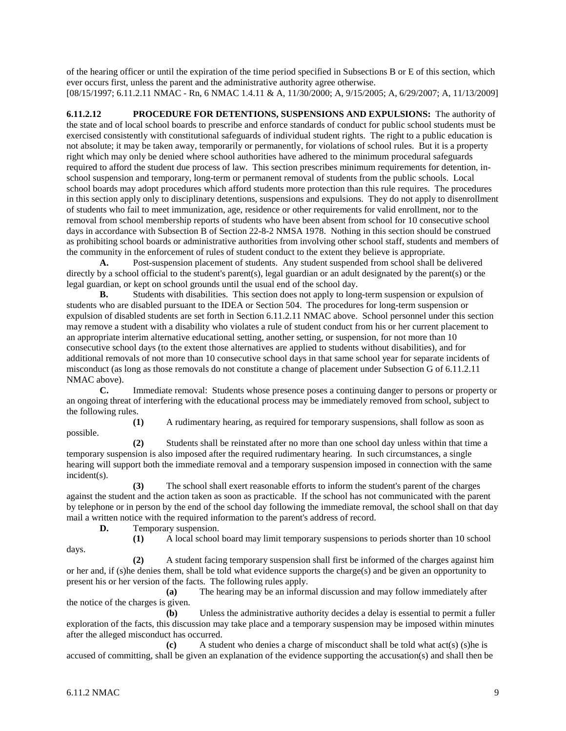of the hearing officer or until the expiration of the time period specified in Subsections B or E of this section, which ever occurs first, unless the parent and the administrative authority agree otherwise. [08/15/1997; 6.11.2.11 NMAC - Rn, 6 NMAC 1.4.11 & A, 11/30/2000; A, 9/15/2005; A, 6/29/2007; A, 11/13/2009]

**6.11.2.12 PROCEDURE FOR DETENTIONS, SUSPENSIONS AND EXPULSIONS:** The authority of the state and of local school boards to prescribe and enforce standards of conduct for public school students must be exercised consistently with constitutional safeguards of individual student rights. The right to a public education is not absolute; it may be taken away, temporarily or permanently, for violations of school rules. But it is a property right which may only be denied where school authorities have adhered to the minimum procedural safeguards required to afford the student due process of law. This section prescribes minimum requirements for detention, inschool suspension and temporary, long-term or permanent removal of students from the public schools. Local school boards may adopt procedures which afford students more protection than this rule requires. The procedures in this section apply only to disciplinary detentions, suspensions and expulsions. They do not apply to disenrollment of students who fail to meet immunization, age, residence or other requirements for valid enrollment, nor to the removal from school membership reports of students who have been absent from school for 10 consecutive school days in accordance with Subsection B of Section 22-8-2 NMSA 1978. Nothing in this section should be construed as prohibiting school boards or administrative authorities from involving other school staff, students and members of the community in the enforcement of rules of student conduct to the extent they believe is appropriate.

**A.** Post-suspension placement of students. Any student suspended from school shall be delivered directly by a school official to the student's parent(s), legal guardian or an adult designated by the parent(s) or the legal guardian, or kept on school grounds until the usual end of the school day.

**B.** Students with disabilities. This section does not apply to long-term suspension or expulsion of students who are disabled pursuant to the IDEA or Section 504. The procedures for long-term suspension or expulsion of disabled students are set forth in Section 6.11.2.11 NMAC above. School personnel under this section may remove a student with a disability who violates a rule of student conduct from his or her current placement to an appropriate interim alternative educational setting, another setting, or suspension, for not more than 10 consecutive school days (to the extent those alternatives are applied to students without disabilities), and for additional removals of not more than 10 consecutive school days in that same school year for separate incidents of misconduct (as long as those removals do not constitute a change of placement under Subsection G of 6.11.2.11 NMAC above).

**C.** Immediate removal: Students whose presence poses a continuing danger to persons or property or an ongoing threat of interfering with the educational process may be immediately removed from school, subject to the following rules.

**(1)** A rudimentary hearing, as required for temporary suspensions, shall follow as soon as possible.

**(2)** Students shall be reinstated after no more than one school day unless within that time a temporary suspension is also imposed after the required rudimentary hearing. In such circumstances, a single hearing will support both the immediate removal and a temporary suspension imposed in connection with the same incident(s).

**(3)** The school shall exert reasonable efforts to inform the student's parent of the charges against the student and the action taken as soon as practicable. If the school has not communicated with the parent by telephone or in person by the end of the school day following the immediate removal, the school shall on that day mail a written notice with the required information to the parent's address of record.<br> **D.** Temporary suspension.

Temporary suspension.

days.

**(1)** A local school board may limit temporary suspensions to periods shorter than 10 school

**(2)** A student facing temporary suspension shall first be informed of the charges against him or her and, if (s)he denies them, shall be told what evidence supports the charge(s) and be given an opportunity to present his or her version of the facts. The following rules apply.

**(a)** The hearing may be an informal discussion and may follow immediately after the notice of the charges is given.

**(b)** Unless the administrative authority decides a delay is essential to permit a fuller exploration of the facts, this discussion may take place and a temporary suspension may be imposed within minutes after the alleged misconduct has occurred.

**(c)** A student who denies a charge of misconduct shall be told what act(s) (s)he is accused of committing, shall be given an explanation of the evidence supporting the accusation(s) and shall then be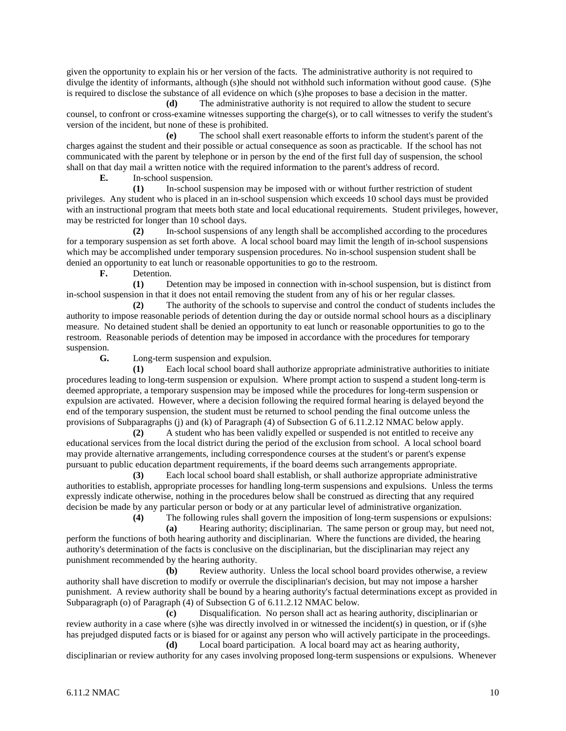given the opportunity to explain his or her version of the facts. The administrative authority is not required to divulge the identity of informants, although (s)he should not withhold such information without good cause. (S)he is required to disclose the substance of all evidence on which (s)he proposes to base a decision in the matter.

**(d)** The administrative authority is not required to allow the student to secure counsel, to confront or cross-examine witnesses supporting the charge(s), or to call witnesses to verify the student's version of the incident, but none of these is prohibited.

**(e)** The school shall exert reasonable efforts to inform the student's parent of the charges against the student and their possible or actual consequence as soon as practicable. If the school has not communicated with the parent by telephone or in person by the end of the first full day of suspension, the school shall on that day mail a written notice with the required information to the parent's address of record.

**E.** In-school suspension.

**(1)** In-school suspension may be imposed with or without further restriction of student privileges. Any student who is placed in an in-school suspension which exceeds 10 school days must be provided with an instructional program that meets both state and local educational requirements. Student privileges, however, may be restricted for longer than 10 school days.

**(2)** In-school suspensions of any length shall be accomplished according to the procedures for a temporary suspension as set forth above. A local school board may limit the length of in-school suspensions which may be accomplished under temporary suspension procedures. No in-school suspension student shall be denied an opportunity to eat lunch or reasonable opportunities to go to the restroom.<br> **F.** Detention

**F.** Detention.

**(1)** Detention may be imposed in connection with in-school suspension, but is distinct from in-school suspension in that it does not entail removing the student from any of his or her regular classes.

**(2)** The authority of the schools to supervise and control the conduct of students includes the authority to impose reasonable periods of detention during the day or outside normal school hours as a disciplinary measure. No detained student shall be denied an opportunity to eat lunch or reasonable opportunities to go to the restroom. Reasonable periods of detention may be imposed in accordance with the procedures for temporary suspension.

**G.** Long-term suspension and expulsion.

**(1)** Each local school board shall authorize appropriate administrative authorities to initiate procedures leading to long-term suspension or expulsion. Where prompt action to suspend a student long-term is deemed appropriate, a temporary suspension may be imposed while the procedures for long-term suspension or expulsion are activated. However, where a decision following the required formal hearing is delayed beyond the end of the temporary suspension, the student must be returned to school pending the final outcome unless the provisions of Subparagraphs (j) and (k) of Paragraph (4) of Subsection G of 6.11.2.12 NMAC below apply.

**(2)** A student who has been validly expelled or suspended is not entitled to receive any educational services from the local district during the period of the exclusion from school. A local school board may provide alternative arrangements, including correspondence courses at the student's or parent's expense pursuant to public education department requirements, if the board deems such arrangements appropriate.

**(3)** Each local school board shall establish, or shall authorize appropriate administrative authorities to establish, appropriate processes for handling long-term suspensions and expulsions. Unless the terms expressly indicate otherwise, nothing in the procedures below shall be construed as directing that any required decision be made by any particular person or body or at any particular level of administrative organization.

**(4)** The following rules shall govern the imposition of long-term suspensions or expulsions:

**(a)** Hearing authority; disciplinarian. The same person or group may, but need not, perform the functions of both hearing authority and disciplinarian. Where the functions are divided, the hearing authority's determination of the facts is conclusive on the disciplinarian, but the disciplinarian may reject any punishment recommended by the hearing authority.

**(b)** Review authority. Unless the local school board provides otherwise, a review authority shall have discretion to modify or overrule the disciplinarian's decision, but may not impose a harsher punishment. A review authority shall be bound by a hearing authority's factual determinations except as provided in Subparagraph (o) of Paragraph (4) of Subsection G of 6.11.2.12 NMAC below.

**(c)** Disqualification. No person shall act as hearing authority, disciplinarian or review authority in a case where (s)he was directly involved in or witnessed the incident(s) in question, or if (s)he has prejudged disputed facts or is biased for or against any person who will actively participate in the proceedings. **(d)** Local board participation. A local board may act as hearing authority,

disciplinarian or review authority for any cases involving proposed long-term suspensions or expulsions. Whenever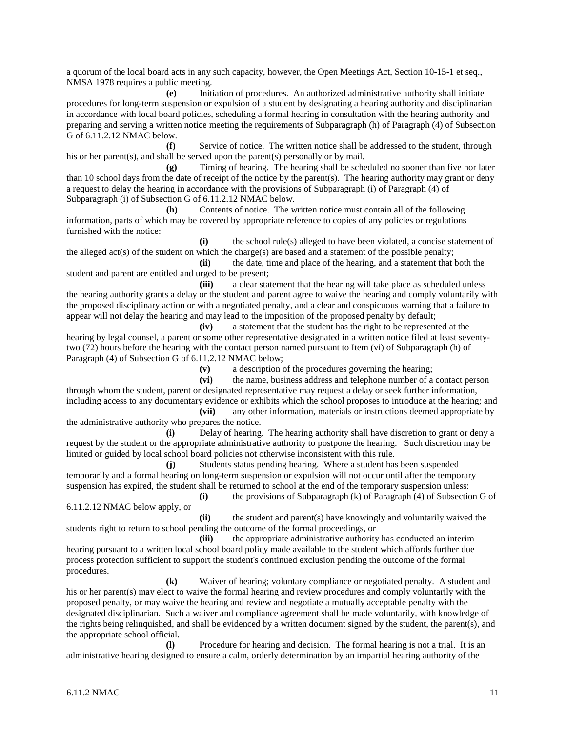a quorum of the local board acts in any such capacity, however, the Open Meetings Act, Section 10-15-1 et seq., NMSA 1978 requires a public meeting.

**(e)** Initiation of procedures. An authorized administrative authority shall initiate procedures for long-term suspension or expulsion of a student by designating a hearing authority and disciplinarian in accordance with local board policies, scheduling a formal hearing in consultation with the hearing authority and preparing and serving a written notice meeting the requirements of Subparagraph (h) of Paragraph (4) of Subsection G of 6.11.2.12 NMAC below.

Service of notice. The written notice shall be addressed to the student, through his or her parent(s), and shall be served upon the parent(s) personally or by mail.

**(g)** Timing of hearing. The hearing shall be scheduled no sooner than five nor later than 10 school days from the date of receipt of the notice by the parent(s). The hearing authority may grant or deny a request to delay the hearing in accordance with the provisions of Subparagraph (i) of Paragraph (4) of Subparagraph (i) of Subsection G of 6.11.2.12 NMAC below.

**(h)** Contents of notice. The written notice must contain all of the following information, parts of which may be covered by appropriate reference to copies of any policies or regulations furnished with the notice:

**(i)** the school rule(s) alleged to have been violated, a concise statement of the alleged act(s) of the student on which the charge(s) are based and a statement of the possible penalty;

**(ii)** the date, time and place of the hearing, and a statement that both the student and parent are entitled and urged to be present;

**(iii)** a clear statement that the hearing will take place as scheduled unless the hearing authority grants a delay or the student and parent agree to waive the hearing and comply voluntarily with the proposed disciplinary action or with a negotiated penalty, and a clear and conspicuous warning that a failure to appear will not delay the hearing and may lead to the imposition of the proposed penalty by default;

**(iv)** a statement that the student has the right to be represented at the hearing by legal counsel, a parent or some other representative designated in a written notice filed at least seventytwo (72) hours before the hearing with the contact person named pursuant to Item (vi) of Subparagraph (h) of Paragraph (4) of Subsection G of 6.11.2.12 NMAC below;

**(v)** a description of the procedures governing the hearing;

**(vi)** the name, business address and telephone number of a contact person through whom the student, parent or designated representative may request a delay or seek further information, including access to any documentary evidence or exhibits which the school proposes to introduce at the hearing; and

**(vii)** any other information, materials or instructions deemed appropriate by the administrative authority who prepares the notice.

**(i)** Delay of hearing. The hearing authority shall have discretion to grant or deny a request by the student or the appropriate administrative authority to postpone the hearing. Such discretion may be limited or guided by local school board policies not otherwise inconsistent with this rule.

**(j)** Students status pending hearing. Where a student has been suspended temporarily and a formal hearing on long-term suspension or expulsion will not occur until after the temporary suspension has expired, the student shall be returned to school at the end of the temporary suspension unless: **(i)** the provisions of Subparagraph (k) of Paragraph (4) of Subsection G of

6.11.2.12 NMAC below apply, or

**(ii)** the student and parent(s) have knowingly and voluntarily waived the students right to return to school pending the outcome of the formal proceedings, or

**(iii)** the appropriate administrative authority has conducted an interim hearing pursuant to a written local school board policy made available to the student which affords further due process protection sufficient to support the student's continued exclusion pending the outcome of the formal procedures.

**(k)** Waiver of hearing; voluntary compliance or negotiated penalty. A student and his or her parent(s) may elect to waive the formal hearing and review procedures and comply voluntarily with the proposed penalty, or may waive the hearing and review and negotiate a mutually acceptable penalty with the designated disciplinarian. Such a waiver and compliance agreement shall be made voluntarily, with knowledge of the rights being relinquished, and shall be evidenced by a written document signed by the student, the parent(s), and the appropriate school official.

**(l)** Procedure for hearing and decision. The formal hearing is not a trial. It is an administrative hearing designed to ensure a calm, orderly determination by an impartial hearing authority of the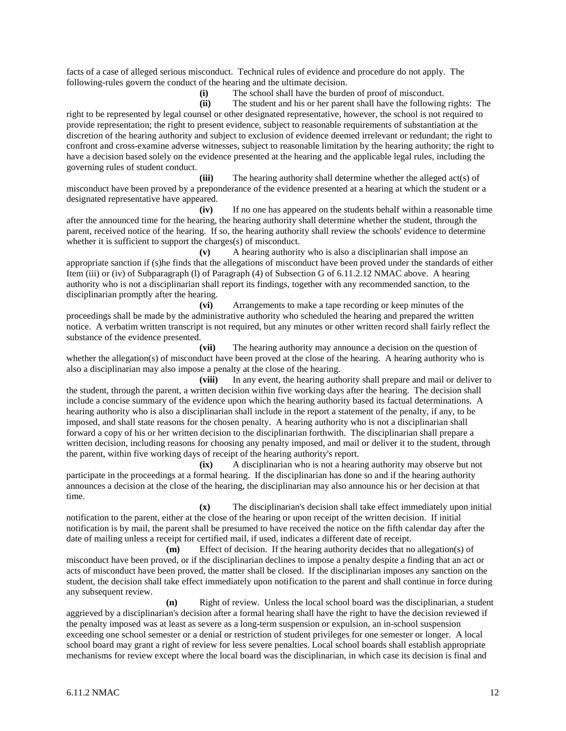facts of a case of alleged serious misconduct. Technical rules of evidence and procedure do not apply. The following-rules govern the conduct of the hearing and the ultimate decision.

**(i)** The school shall have the burden of proof of misconduct.

**(ii)** The student and his or her parent shall have the following rights: The right to be represented by legal counsel or other designated representative, however, the school is not required to provide representation; the right to present evidence, subject to reasonable requirements of substantiation at the discretion of the hearing authority and subject to exclusion of evidence deemed irrelevant or redundant; the right to confront and cross-examine adverse witnesses, subject to reasonable limitation by the hearing authority; the right to have a decision based solely on the evidence presented at the hearing and the applicable legal rules, including the governing rules of student conduct.

**(iii)** The hearing authority shall determine whether the alleged act(s) of misconduct have been proved by a preponderance of the evidence presented at a hearing at which the student or a designated representative have appeared.

**(iv)** If no one has appeared on the students behalf within a reasonable time after the announced time for the hearing, the hearing authority shall determine whether the student, through the parent, received notice of the hearing. If so, the hearing authority shall review the schools' evidence to determine whether it is sufficient to support the charges(s) of misconduct.

**(v)** A hearing authority who is also a disciplinarian shall impose an appropriate sanction if (s)he finds that the allegations of misconduct have been proved under the standards of either Item (iii) or (iv) of Subparagraph (l) of Paragraph (4) of Subsection G of 6.11.2.12 NMAC above. A hearing authority who is not a disciplinarian shall report its findings, together with any recommended sanction, to the disciplinarian promptly after the hearing.

**(vi)** Arrangements to make a tape recording or keep minutes of the proceedings shall be made by the administrative authority who scheduled the hearing and prepared the written notice. A verbatim written transcript is not required, but any minutes or other written record shall fairly reflect the substance of the evidence presented.

**(vii)** The hearing authority may announce a decision on the question of whether the allegation(s) of misconduct have been proved at the close of the hearing. A hearing authority who is also a disciplinarian may also impose a penalty at the close of the hearing.

**(viii)** In any event, the hearing authority shall prepare and mail or deliver to the student, through the parent, a written decision within five working days after the hearing. The decision shall include a concise summary of the evidence upon which the hearing authority based its factual determinations. A hearing authority who is also a disciplinarian shall include in the report a statement of the penalty, if any, to be imposed, and shall state reasons for the chosen penalty. A hearing authority who is not a disciplinarian shall forward a copy of his or her written decision to the disciplinarian forthwith. The disciplinarian shall prepare a written decision, including reasons for choosing any penalty imposed, and mail or deliver it to the student, through the parent, within five working days of receipt of the hearing authority's report.

**(ix)** A disciplinarian who is not a hearing authority may observe but not participate in the proceedings at a formal hearing. If the disciplinarian has done so and if the hearing authority announces a decision at the close of the hearing, the disciplinarian may also announce his or her decision at that time.

**(x)** The disciplinarian's decision shall take effect immediately upon initial notification to the parent, either at the close of the hearing or upon receipt of the written decision. If initial notification is by mail, the parent shall be presumed to have received the notice on the fifth calendar day after the date of mailing unless a receipt for certified mail, if used, indicates a different date of receipt.

**(m)** Effect of decision. If the hearing authority decides that no allegation(s) of misconduct have been proved, or if the disciplinarian declines to impose a penalty despite a finding that an act or acts of misconduct have been proved, the matter shall be closed. If the disciplinarian imposes any sanction on the student, the decision shall take effect immediately upon notification to the parent and shall continue in force during any subsequent review.

**(n)** Right of review. Unless the local school board was the disciplinarian, a student aggrieved by a disciplinarian's decision after a formal hearing shall have the right to have the decision reviewed if the penalty imposed was at least as severe as a long-term suspension or expulsion, an in-school suspension exceeding one school semester or a denial or restriction of student privileges for one semester or longer. A local school board may grant a right of review for less severe penalties. Local school boards shall establish appropriate mechanisms for review except where the local board was the disciplinarian, in which case its decision is final and